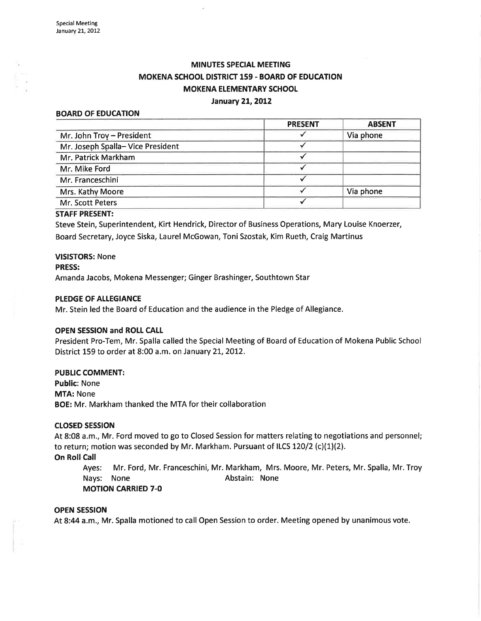# **MINUTES SPECIAL MEETING** MOKENA SCHOOL DISTRICT 159 - BOARD OF EDUCATION **MOKENA ELEMENTARY SCHOOL** January 21, 2012

#### BOARD OF EDUCATION

|                                  | <b>PRESENT</b> | <b>ABSENT</b> |
|----------------------------------|----------------|---------------|
| Mr. John Troy - President        |                | Via phone     |
| Mr. Joseph Spalla-Vice President |                |               |
| Mr. Patrick Markham              |                |               |
| Mr. Mike Ford                    |                |               |
| Mr. Franceschini                 |                |               |
| Mrs. Kathy Moore                 |                | Via phone     |
| Mr. Scott Peters                 |                |               |

#### STAFF PRESENT:

Steve Stein, Superintendent, Kirt Hendrick, Director of Business Operations, Mary Louise Knoerzer, Board Secretary, Joyce Siska, Laurel McGowan, Toni Szostak, Kim Rueth, Craig Martinus

## VISISTORS: None

### PRESS:

Amanda Jacobs, Mokena Messenger; Ginger Brashinger, Southtown Star

#### PLEDGE OF ALLEGIANCE

Mr. Stein led the Board of Education and the audience in the Pledge of Allegiance.

### OPEN SESSION and ROtt CALI

President Pro-Tem, Mr. Spalla called the Special Meeting of Board of Education of Mokena Public School District 159 to order at 8:00 a.m. on January 21, 2012.

### PUBLIC COMMENT:

Public: None MTA: None BOE: Mr. Markham thanked the MTA for their collaboration

### ctosED sEsstoN

At 8:08 a.m., Mr. Ford moved to go to Closed Session for matters relating to negotiations and personnel; to return; motion was seconded by Mr. Markham. Pursuant of ILCS 120/2 (c)(1)(2).

### On Roll Call

Ayes: Mr. Ford, Mr. Franceschini, Mr. Markham, Mrs. Moore, Mr. Peters, Mr. Spalla, Mr. Troy Nays: None **Abstain:** None MOTION CARRIED 7-O

#### OPEN SESSION

At 8:44 a.m., Mr. Spalla motioned to call Open Session to order. Meeting opened by unanimous vote.